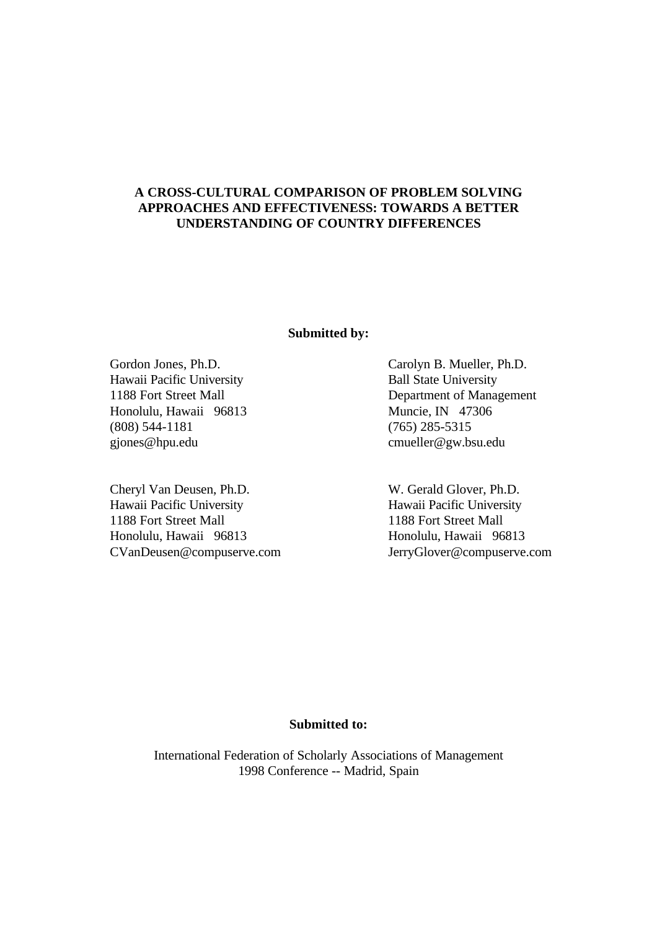# **A CROSS-CULTURAL COMPARISON OF PROBLEM SOLVING APPROACHES AND EFFECTIVENESS: TOWARDS A BETTER UNDERSTANDING OF COUNTRY DIFFERENCES**

## **Submitted by:**

Hawaii Pacific University Ball State University Honolulu, Hawaii 96813 Muncie, IN 47306 (808) 544-1181 (765) 285-5315 gjones@hpu.edu cmueller@gw.bsu.edu

Cheryl Van Deusen, Ph.D. W. Gerald Glover, Ph.D. Hawaii Pacific University Hawaii Pacific University 1188 Fort Street Mall 1188 Fort Street Mall Honolulu, Hawaii 96813 Honolulu, Hawaii 96813 CVanDeusen@compuserve.com JerryGlover@compuserve.com

Gordon Jones, Ph.D. Carolyn B. Mueller, Ph.D. 1188 Fort Street Mall Department of Management

# **Submitted to:**

International Federation of Scholarly Associations of Management 1998 Conference -- Madrid, Spain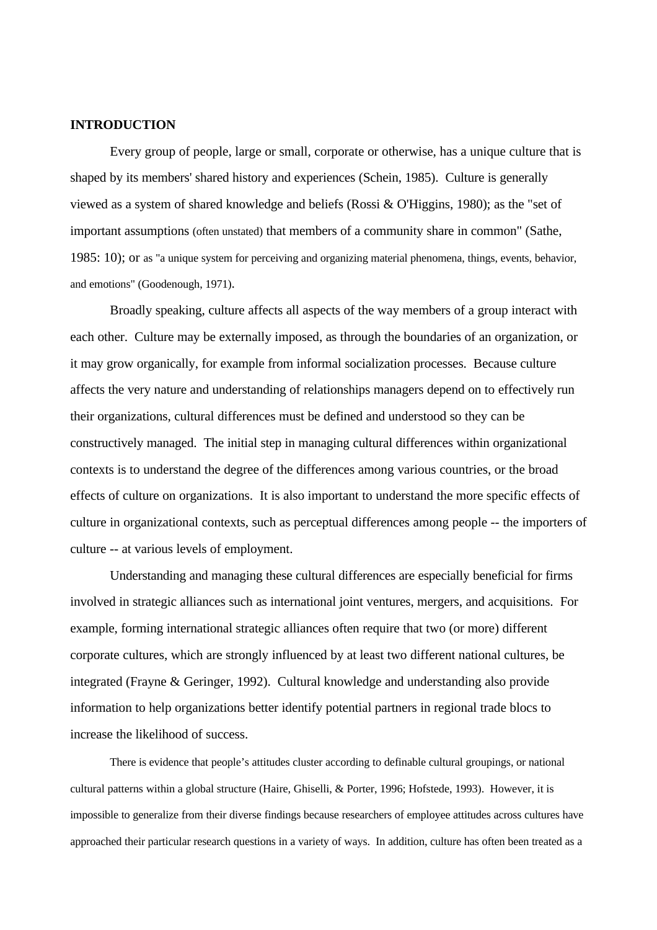## **INTRODUCTION**

Every group of people, large or small, corporate or otherwise, has a unique culture that is shaped by its members' shared history and experiences (Schein, 1985). Culture is generally viewed as a system of shared knowledge and beliefs (Rossi  $&$  O'Higgins, 1980); as the "set of important assumptions (often unstated) that members of a community share in common" (Sathe, 1985: 10); or as "a unique system for perceiving and organizing material phenomena, things, events, behavior, and emotions" (Goodenough, 1971).

Broadly speaking, culture affects all aspects of the way members of a group interact with each other. Culture may be externally imposed, as through the boundaries of an organization, or it may grow organically, for example from informal socialization processes. Because culture affects the very nature and understanding of relationships managers depend on to effectively run their organizations, cultural differences must be defined and understood so they can be constructively managed. The initial step in managing cultural differences within organizational contexts is to understand the degree of the differences among various countries, or the broad effects of culture on organizations. It is also important to understand the more specific effects of culture in organizational contexts, such as perceptual differences among people -- the importers of culture -- at various levels of employment.

Understanding and managing these cultural differences are especially beneficial for firms involved in strategic alliances such as international joint ventures, mergers, and acquisitions. For example, forming international strategic alliances often require that two (or more) different corporate cultures, which are strongly influenced by at least two different national cultures, be integrated (Frayne & Geringer, 1992). Cultural knowledge and understanding also provide information to help organizations better identify potential partners in regional trade blocs to increase the likelihood of success.

There is evidence that people's attitudes cluster according to definable cultural groupings, or national cultural patterns within a global structure (Haire, Ghiselli, & Porter, 1996; Hofstede, 1993). However, it is impossible to generalize from their diverse findings because researchers of employee attitudes across cultures have approached their particular research questions in a variety of ways. In addition, culture has often been treated as a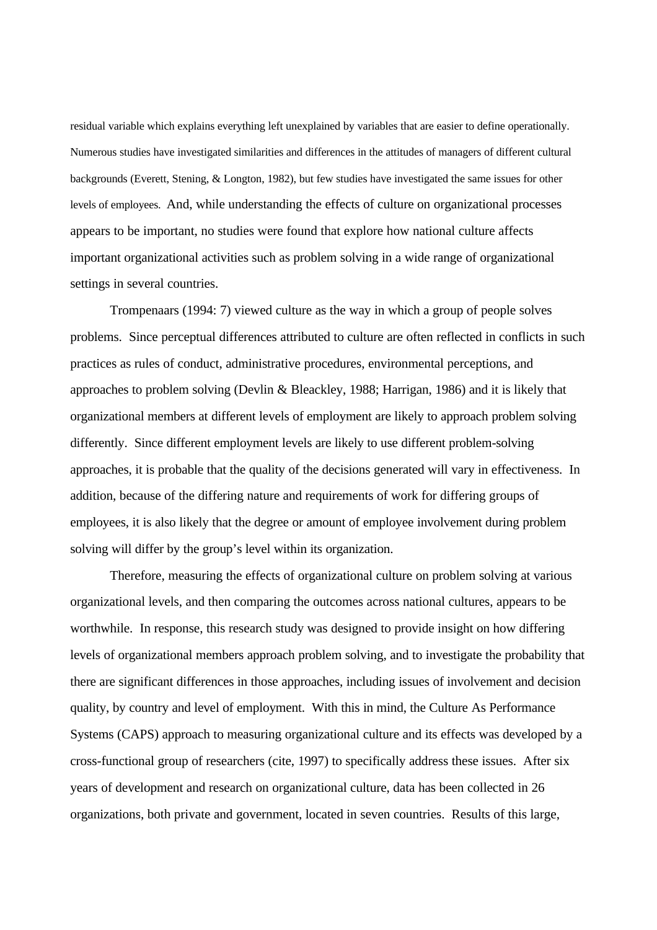residual variable which explains everything left unexplained by variables that are easier to define operationally. Numerous studies have investigated similarities and differences in the attitudes of managers of different cultural backgrounds (Everett, Stening, & Longton, 1982), but few studies have investigated the same issues for other levels of employees. And, while understanding the effects of culture on organizational processes appears to be important, no studies were found that explore how national culture affects important organizational activities such as problem solving in a wide range of organizational settings in several countries.

Trompenaars (1994: 7) viewed culture as the way in which a group of people solves problems. Since perceptual differences attributed to culture are often reflected in conflicts in such practices as rules of conduct, administrative procedures, environmental perceptions, and approaches to problem solving (Devlin & Bleackley, 1988; Harrigan, 1986) and it is likely that organizational members at different levels of employment are likely to approach problem solving differently. Since different employment levels are likely to use different problem-solving approaches, it is probable that the quality of the decisions generated will vary in effectiveness. In addition, because of the differing nature and requirements of work for differing groups of employees, it is also likely that the degree or amount of employee involvement during problem solving will differ by the group's level within its organization.

Therefore, measuring the effects of organizational culture on problem solving at various organizational levels, and then comparing the outcomes across national cultures, appears to be worthwhile. In response, this research study was designed to provide insight on how differing levels of organizational members approach problem solving, and to investigate the probability that there are significant differences in those approaches, including issues of involvement and decision quality, by country and level of employment. With this in mind, the Culture As Performance Systems (CAPS) approach to measuring organizational culture and its effects was developed by a cross-functional group of researchers (cite, 1997) to specifically address these issues. After six years of development and research on organizational culture, data has been collected in 26 organizations, both private and government, located in seven countries. Results of this large,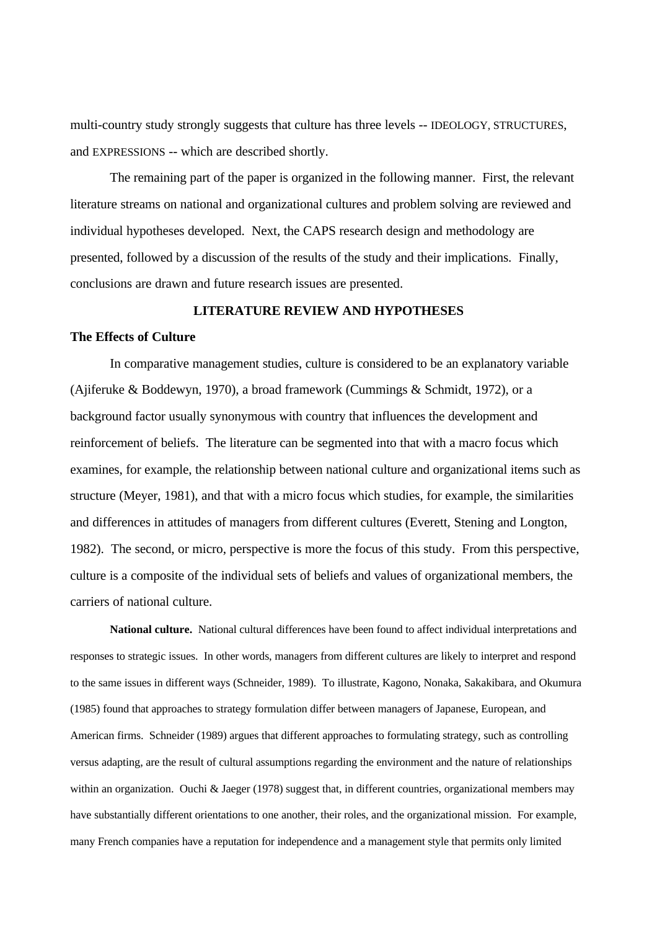multi-country study strongly suggests that culture has three levels -- IDEOLOGY, STRUCTURES, and EXPRESSIONS -- which are described shortly.

The remaining part of the paper is organized in the following manner. First, the relevant literature streams on national and organizational cultures and problem solving are reviewed and individual hypotheses developed. Next, the CAPS research design and methodology are presented, followed by a discussion of the results of the study and their implications. Finally, conclusions are drawn and future research issues are presented.

## **LITERATURE REVIEW AND HYPOTHESES**

## **The Effects of Culture**

In comparative management studies, culture is considered to be an explanatory variable (Ajiferuke & Boddewyn, 1970), a broad framework (Cummings & Schmidt, 1972), or a background factor usually synonymous with country that influences the development and reinforcement of beliefs. The literature can be segmented into that with a macro focus which examines, for example, the relationship between national culture and organizational items such as structure (Meyer, 1981), and that with a micro focus which studies, for example, the similarities and differences in attitudes of managers from different cultures (Everett, Stening and Longton, 1982). The second, or micro, perspective is more the focus of this study. From this perspective, culture is a composite of the individual sets of beliefs and values of organizational members, the carriers of national culture.

**National culture.** National cultural differences have been found to affect individual interpretations and responses to strategic issues. In other words, managers from different cultures are likely to interpret and respond to the same issues in different ways (Schneider, 1989). To illustrate, Kagono, Nonaka, Sakakibara, and Okumura (1985) found that approaches to strategy formulation differ between managers of Japanese, European, and American firms. Schneider (1989) argues that different approaches to formulating strategy, such as controlling versus adapting, are the result of cultural assumptions regarding the environment and the nature of relationships within an organization. Ouchi & Jaeger (1978) suggest that, in different countries, organizational members may have substantially different orientations to one another, their roles, and the organizational mission. For example, many French companies have a reputation for independence and a management style that permits only limited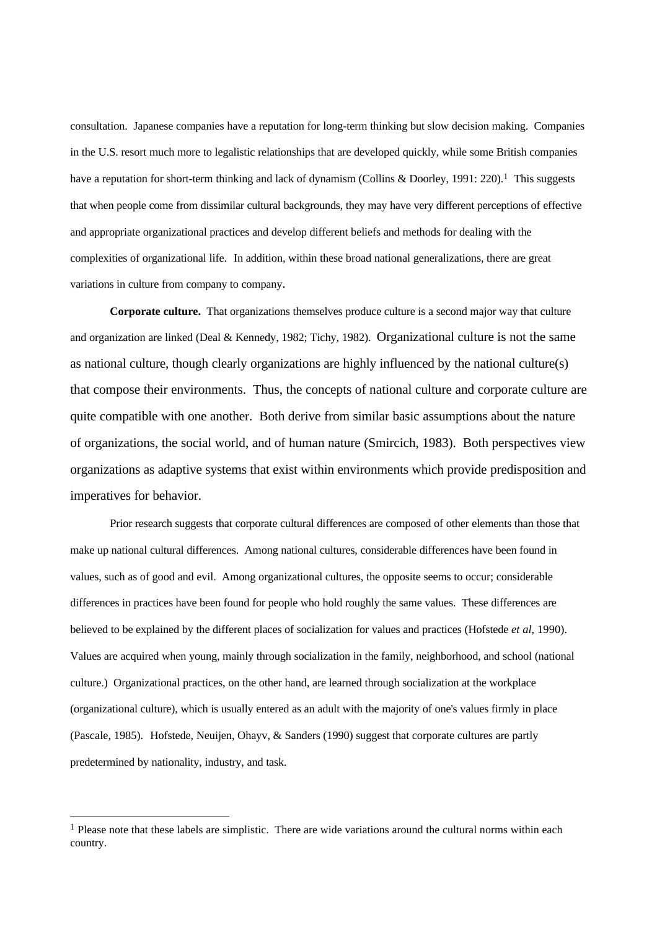consultation. Japanese companies have a reputation for long-term thinking but slow decision making. Companies in the U.S. resort much more to legalistic relationships that are developed quickly, while some British companies have a reputation for short-term thinking and lack of dynamism (Collins & Doorley, 1991: 220).<sup>1</sup> This suggests that when people come from dissimilar cultural backgrounds, they may have very different perceptions of effective and appropriate organizational practices and develop different beliefs and methods for dealing with the complexities of organizational life. In addition, within these broad national generalizations, there are great variations in culture from company to company.

**Corporate culture.** That organizations themselves produce culture is a second major way that culture and organization are linked (Deal & Kennedy, 1982; Tichy, 1982). Organizational culture is not the same as national culture, though clearly organizations are highly influenced by the national culture(s) that compose their environments. Thus, the concepts of national culture and corporate culture are quite compatible with one another. Both derive from similar basic assumptions about the nature of organizations, the social world, and of human nature (Smircich, 1983). Both perspectives view organizations as adaptive systems that exist within environments which provide predisposition and imperatives for behavior.

Prior research suggests that corporate cultural differences are composed of other elements than those that make up national cultural differences. Among national cultures, considerable differences have been found in values, such as of good and evil. Among organizational cultures, the opposite seems to occur; considerable differences in practices have been found for people who hold roughly the same values. These differences are believed to be explained by the different places of socialization for values and practices (Hofstede *et al*, 1990). Values are acquired when young, mainly through socialization in the family, neighborhood, and school (national culture.) Organizational practices, on the other hand, are learned through socialization at the workplace (organizational culture), which is usually entered as an adult with the majority of one's values firmly in place (Pascale, 1985). Hofstede, Neuijen, Ohayv, & Sanders (1990) suggest that corporate cultures are partly predetermined by nationality, industry, and task.

l

<sup>&</sup>lt;sup>1</sup> Please note that these labels are simplistic. There are wide variations around the cultural norms within each country.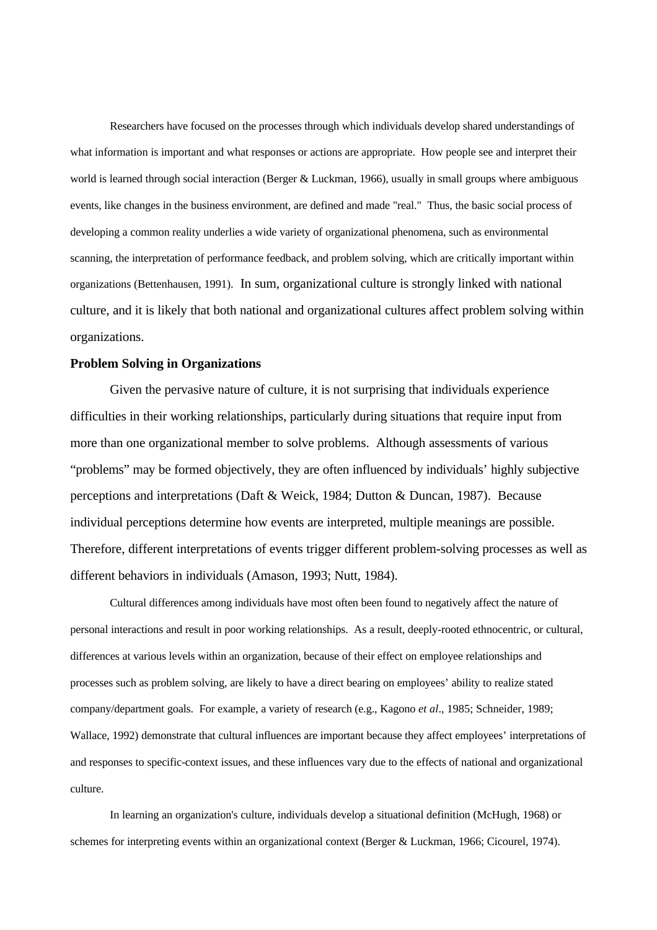Researchers have focused on the processes through which individuals develop shared understandings of what information is important and what responses or actions are appropriate. How people see and interpret their world is learned through social interaction (Berger & Luckman, 1966), usually in small groups where ambiguous events, like changes in the business environment, are defined and made "real." Thus, the basic social process of developing a common reality underlies a wide variety of organizational phenomena, such as environmental scanning, the interpretation of performance feedback, and problem solving, which are critically important within organizations (Bettenhausen, 1991). In sum, organizational culture is strongly linked with national culture, and it is likely that both national and organizational cultures affect problem solving within organizations.

## **Problem Solving in Organizations**

Given the pervasive nature of culture, it is not surprising that individuals experience difficulties in their working relationships, particularly during situations that require input from more than one organizational member to solve problems. Although assessments of various "problems" may be formed objectively, they are often influenced by individuals' highly subjective perceptions and interpretations (Daft & Weick, 1984; Dutton & Duncan, 1987). Because individual perceptions determine how events are interpreted, multiple meanings are possible. Therefore, different interpretations of events trigger different problem-solving processes as well as different behaviors in individuals (Amason, 1993; Nutt, 1984).

Cultural differences among individuals have most often been found to negatively affect the nature of personal interactions and result in poor working relationships. As a result, deeply-rooted ethnocentric, or cultural, differences at various levels within an organization, because of their effect on employee relationships and processes such as problem solving, are likely to have a direct bearing on employees' ability to realize stated company/department goals. For example, a variety of research (e.g., Kagono *et al*., 1985; Schneider, 1989; Wallace, 1992) demonstrate that cultural influences are important because they affect employees' interpretations of and responses to specific-context issues, and these influences vary due to the effects of national and organizational culture.

In learning an organization's culture, individuals develop a situational definition (McHugh, 1968) or schemes for interpreting events within an organizational context (Berger & Luckman, 1966; Cicourel, 1974).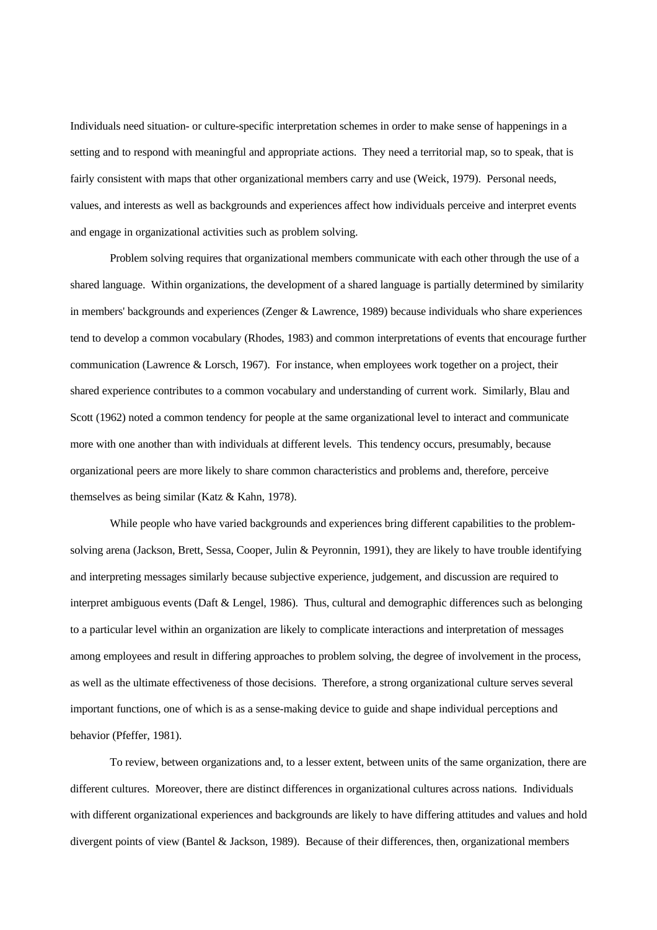Individuals need situation- or culture-specific interpretation schemes in order to make sense of happenings in a setting and to respond with meaningful and appropriate actions. They need a territorial map, so to speak, that is fairly consistent with maps that other organizational members carry and use (Weick, 1979). Personal needs, values, and interests as well as backgrounds and experiences affect how individuals perceive and interpret events and engage in organizational activities such as problem solving.

Problem solving requires that organizational members communicate with each other through the use of a shared language. Within organizations, the development of a shared language is partially determined by similarity in members' backgrounds and experiences (Zenger & Lawrence, 1989) because individuals who share experiences tend to develop a common vocabulary (Rhodes, 1983) and common interpretations of events that encourage further communication (Lawrence & Lorsch, 1967). For instance, when employees work together on a project, their shared experience contributes to a common vocabulary and understanding of current work. Similarly, Blau and Scott (1962) noted a common tendency for people at the same organizational level to interact and communicate more with one another than with individuals at different levels. This tendency occurs, presumably, because organizational peers are more likely to share common characteristics and problems and, therefore, perceive themselves as being similar (Katz & Kahn, 1978).

While people who have varied backgrounds and experiences bring different capabilities to the problemsolving arena (Jackson, Brett, Sessa, Cooper, Julin & Peyronnin, 1991), they are likely to have trouble identifying and interpreting messages similarly because subjective experience, judgement, and discussion are required to interpret ambiguous events (Daft & Lengel, 1986). Thus, cultural and demographic differences such as belonging to a particular level within an organization are likely to complicate interactions and interpretation of messages among employees and result in differing approaches to problem solving, the degree of involvement in the process, as well as the ultimate effectiveness of those decisions. Therefore, a strong organizational culture serves several important functions, one of which is as a sense-making device to guide and shape individual perceptions and behavior (Pfeffer, 1981).

To review, between organizations and, to a lesser extent, between units of the same organization, there are different cultures. Moreover, there are distinct differences in organizational cultures across nations. Individuals with different organizational experiences and backgrounds are likely to have differing attitudes and values and hold divergent points of view (Bantel & Jackson, 1989). Because of their differences, then, organizational members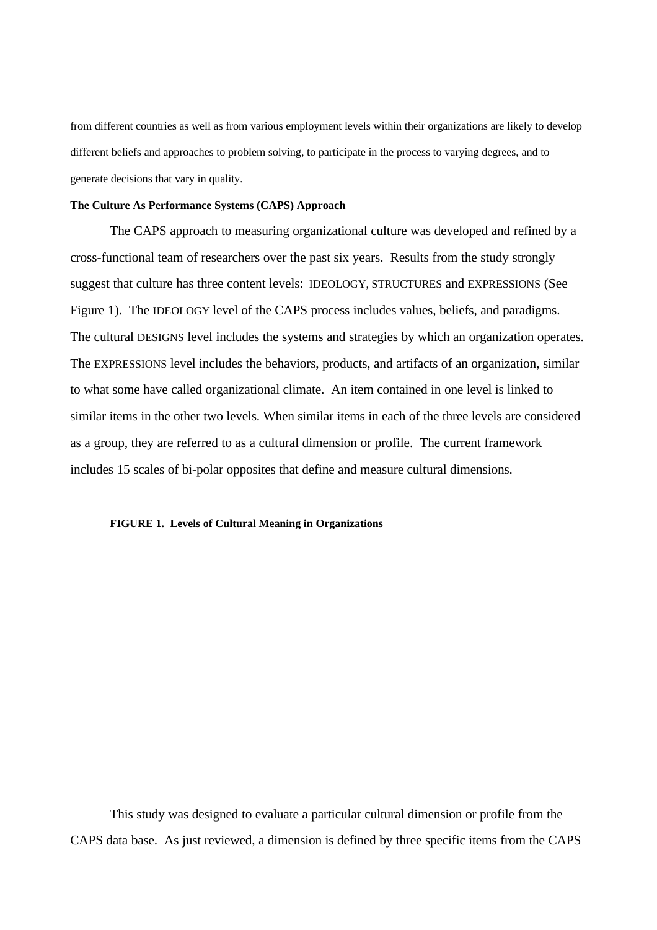from different countries as well as from various employment levels within their organizations are likely to develop different beliefs and approaches to problem solving, to participate in the process to varying degrees, and to generate decisions that vary in quality.

## **The Culture As Performance Systems (CAPS) Approach**

The CAPS approach to measuring organizational culture was developed and refined by a cross-functional team of researchers over the past six years. Results from the study strongly suggest that culture has three content levels: IDEOLOGY, STRUCTURES and EXPRESSIONS (See Figure 1). The IDEOLOGY level of the CAPS process includes values, beliefs, and paradigms. The cultural DESIGNS level includes the systems and strategies by which an organization operates. The EXPRESSIONS level includes the behaviors, products, and artifacts of an organization, similar to what some have called organizational climate. An item contained in one level is linked to similar items in the other two levels. When similar items in each of the three levels are considered as a group, they are referred to as a cultural dimension or profile. The current framework includes 15 scales of bi-polar opposites that define and measure cultural dimensions.

#### **FIGURE 1. Levels of Cultural Meaning in Organizations**

This study was designed to evaluate a particular cultural dimension or profile from the CAPS data base. As just reviewed, a dimension is defined by three specific items from the CAPS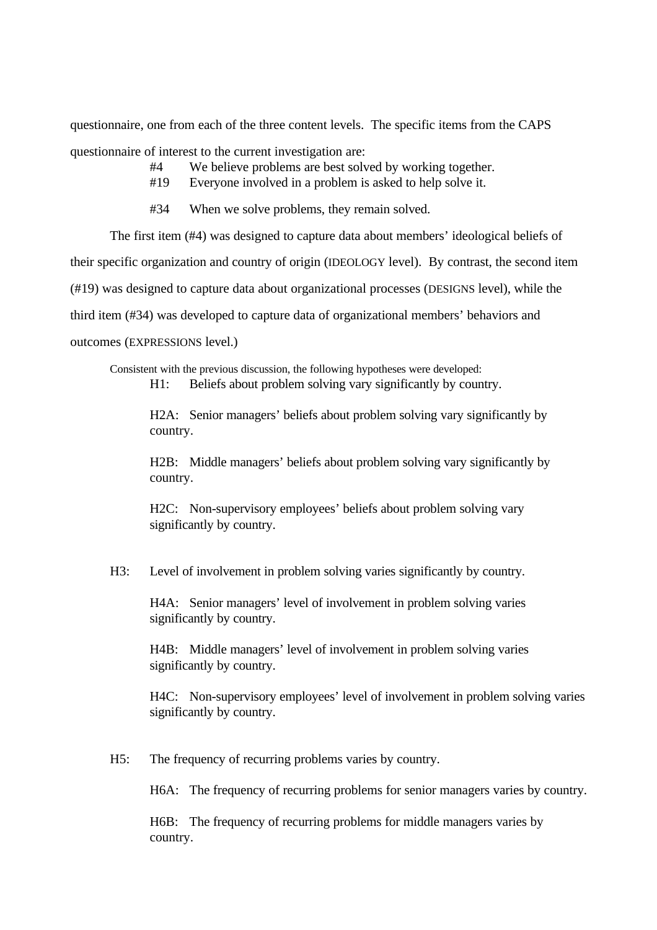questionnaire, one from each of the three content levels. The specific items from the CAPS questionnaire of interest to the current investigation are:

- #4 We believe problems are best solved by working together.
- #19 Everyone involved in a problem is asked to help solve it.
- #34 When we solve problems, they remain solved.

The first item (#4) was designed to capture data about members' ideological beliefs of their specific organization and country of origin (IDEOLOGY level). By contrast, the second item (#19) was designed to capture data about organizational processes (DESIGNS level), while the third item (#34) was developed to capture data of organizational members' behaviors and outcomes (EXPRESSIONS level.)

Consistent with the previous discussion, the following hypotheses were developed:

H1: Beliefs about problem solving vary significantly by country.

H2A: Senior managers' beliefs about problem solving vary significantly by country.

H2B: Middle managers' beliefs about problem solving vary significantly by country.

H2C: Non-supervisory employees' beliefs about problem solving vary significantly by country.

H3: Level of involvement in problem solving varies significantly by country.

H4A: Senior managers' level of involvement in problem solving varies significantly by country.

H4B: Middle managers' level of involvement in problem solving varies significantly by country.

H4C: Non-supervisory employees' level of involvement in problem solving varies significantly by country.

H5: The frequency of recurring problems varies by country.

H6A: The frequency of recurring problems for senior managers varies by country.

H6B: The frequency of recurring problems for middle managers varies by country.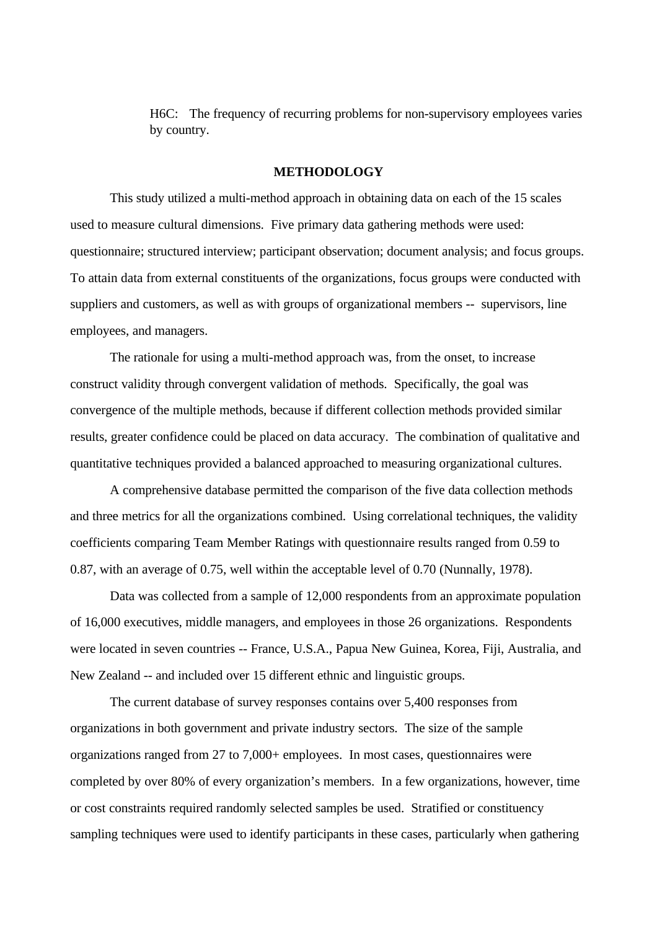H6C: The frequency of recurring problems for non-supervisory employees varies by country.

## **METHODOLOGY**

This study utilized a multi-method approach in obtaining data on each of the 15 scales used to measure cultural dimensions. Five primary data gathering methods were used: questionnaire; structured interview; participant observation; document analysis; and focus groups. To attain data from external constituents of the organizations, focus groups were conducted with suppliers and customers, as well as with groups of organizational members -- supervisors, line employees, and managers.

The rationale for using a multi-method approach was, from the onset, to increase construct validity through convergent validation of methods. Specifically, the goal was convergence of the multiple methods, because if different collection methods provided similar results, greater confidence could be placed on data accuracy. The combination of qualitative and quantitative techniques provided a balanced approached to measuring organizational cultures.

A comprehensive database permitted the comparison of the five data collection methods and three metrics for all the organizations combined. Using correlational techniques, the validity coefficients comparing Team Member Ratings with questionnaire results ranged from 0.59 to 0.87, with an average of 0.75, well within the acceptable level of 0.70 (Nunnally, 1978).

Data was collected from a sample of 12,000 respondents from an approximate population of 16,000 executives, middle managers, and employees in those 26 organizations. Respondents were located in seven countries -- France, U.S.A., Papua New Guinea, Korea, Fiji, Australia, and New Zealand -- and included over 15 different ethnic and linguistic groups.

The current database of survey responses contains over 5,400 responses from organizations in both government and private industry sectors. The size of the sample organizations ranged from 27 to 7,000+ employees. In most cases, questionnaires were completed by over 80% of every organization's members. In a few organizations, however, time or cost constraints required randomly selected samples be used. Stratified or constituency sampling techniques were used to identify participants in these cases, particularly when gathering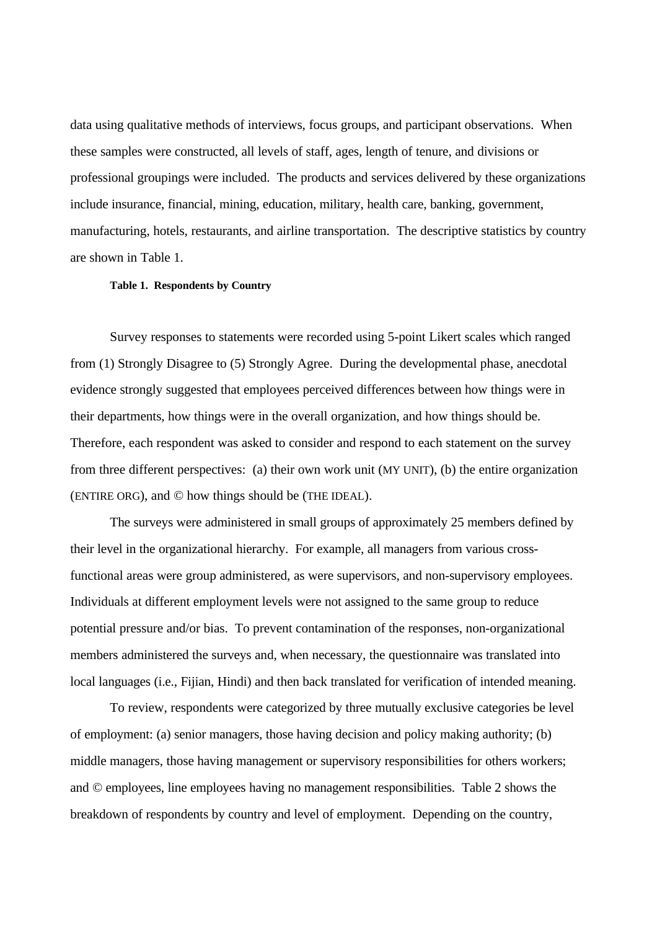data using qualitative methods of interviews, focus groups, and participant observations. When these samples were constructed, all levels of staff, ages, length of tenure, and divisions or professional groupings were included. The products and services delivered by these organizations include insurance, financial, mining, education, military, health care, banking, government, manufacturing, hotels, restaurants, and airline transportation. The descriptive statistics by country are shown in Table 1.

#### **Table 1. Respondents by Country**

Survey responses to statements were recorded using 5-point Likert scales which ranged from (1) Strongly Disagree to (5) Strongly Agree. During the developmental phase, anecdotal evidence strongly suggested that employees perceived differences between how things were in their departments, how things were in the overall organization, and how things should be. Therefore, each respondent was asked to consider and respond to each statement on the survey from three different perspectives: (a) their own work unit (MY UNIT), (b) the entire organization (ENTIRE ORG), and © how things should be (THE IDEAL).

The surveys were administered in small groups of approximately 25 members defined by their level in the organizational hierarchy. For example, all managers from various crossfunctional areas were group administered, as were supervisors, and non-supervisory employees. Individuals at different employment levels were not assigned to the same group to reduce potential pressure and/or bias. To prevent contamination of the responses, non-organizational members administered the surveys and, when necessary, the questionnaire was translated into local languages (i.e., Fijian, Hindi) and then back translated for verification of intended meaning.

To review, respondents were categorized by three mutually exclusive categories be level of employment: (a) senior managers, those having decision and policy making authority; (b) middle managers, those having management or supervisory responsibilities for others workers; and © employees, line employees having no management responsibilities. Table 2 shows the breakdown of respondents by country and level of employment. Depending on the country,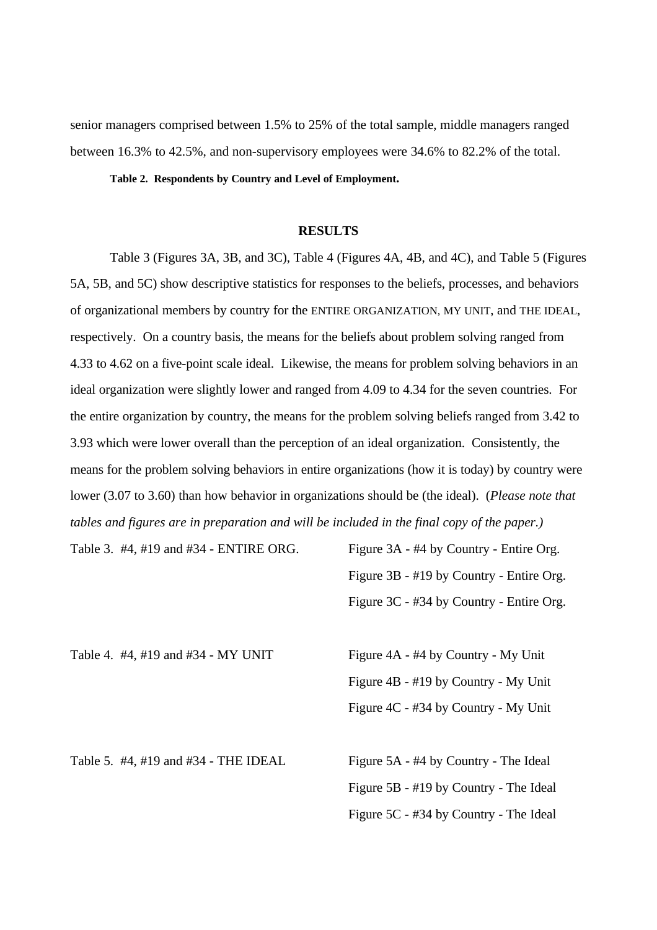senior managers comprised between 1.5% to 25% of the total sample, middle managers ranged between 16.3% to 42.5%, and non-supervisory employees were 34.6% to 82.2% of the total.

## **Table 2. Respondents by Country and Level of Employment.**

#### **RESULTS**

Table 3 (Figures 3A, 3B, and 3C), Table 4 (Figures 4A, 4B, and 4C), and Table 5 (Figures 5A, 5B, and 5C) show descriptive statistics for responses to the beliefs, processes, and behaviors of organizational members by country for the ENTIRE ORGANIZATION, MY UNIT, and THE IDEAL, respectively. On a country basis, the means for the beliefs about problem solving ranged from 4.33 to 4.62 on a five-point scale ideal. Likewise, the means for problem solving behaviors in an ideal organization were slightly lower and ranged from 4.09 to 4.34 for the seven countries. For the entire organization by country, the means for the problem solving beliefs ranged from 3.42 to 3.93 which were lower overall than the perception of an ideal organization. Consistently, the means for the problem solving behaviors in entire organizations (how it is today) by country were lower (3.07 to 3.60) than how behavior in organizations should be (the ideal). (*Please note that tables and figures are in preparation and will be included in the final copy of the paper.)*

Table 3. #4, #19 and #34 - ENTIRE ORG. Figure 3A - #4 by Country - Entire Org. Figure 3B - #19 by Country - Entire Org. Figure 3C - #34 by Country - Entire Org.

Table 4. #4, #19 and #34 - MY UNIT Figure 4A - #4 by Country - My Unit

Figure 4B - #19 by Country - My Unit Figure 4C - #34 by Country - My Unit

Table 5. #4, #19 and #34 - THE IDEAL Figure 5A - #4 by Country - The Ideal

Figure 5B - #19 by Country - The Ideal Figure 5C - #34 by Country - The Ideal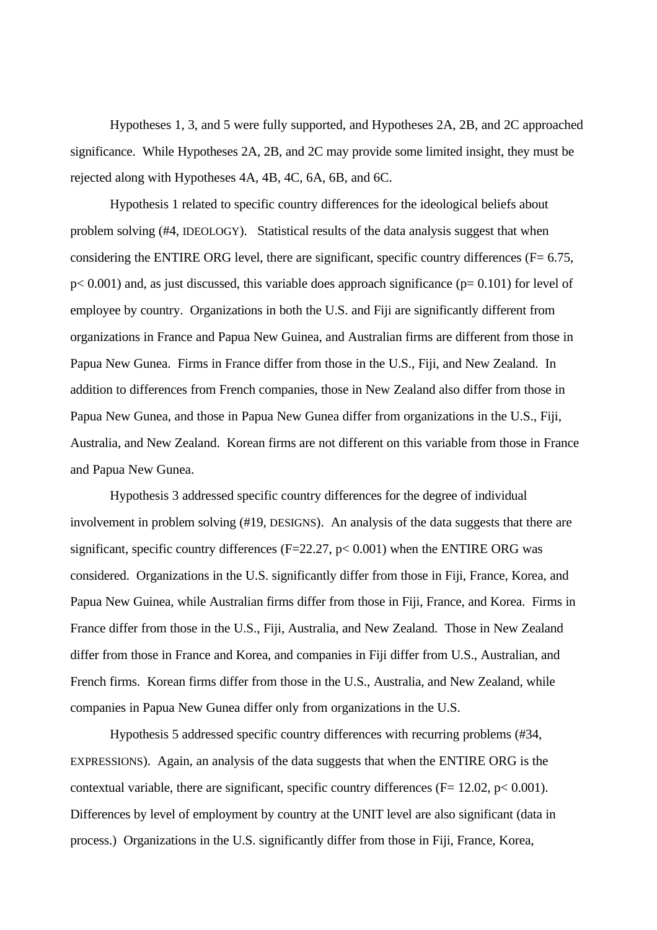Hypotheses 1, 3, and 5 were fully supported, and Hypotheses 2A, 2B, and 2C approached significance. While Hypotheses 2A, 2B, and 2C may provide some limited insight, they must be rejected along with Hypotheses 4A, 4B, 4C, 6A, 6B, and 6C.

Hypothesis 1 related to specific country differences for the ideological beliefs about problem solving (#4, IDEOLOGY). Statistical results of the data analysis suggest that when considering the ENTIRE ORG level, there are significant, specific country differences ( $F= 6.75$ ,  $p<0.001$ ) and, as just discussed, this variable does approach significance ( $p=0.101$ ) for level of employee by country. Organizations in both the U.S. and Fiji are significantly different from organizations in France and Papua New Guinea, and Australian firms are different from those in Papua New Gunea. Firms in France differ from those in the U.S., Fiji, and New Zealand. In addition to differences from French companies, those in New Zealand also differ from those in Papua New Gunea, and those in Papua New Gunea differ from organizations in the U.S., Fiji, Australia, and New Zealand. Korean firms are not different on this variable from those in France and Papua New Gunea.

Hypothesis 3 addressed specific country differences for the degree of individual involvement in problem solving (#19, DESIGNS). An analysis of the data suggests that there are significant, specific country differences ( $F=22.27$ ,  $p< 0.001$ ) when the ENTIRE ORG was considered. Organizations in the U.S. significantly differ from those in Fiji, France, Korea, and Papua New Guinea, while Australian firms differ from those in Fiji, France, and Korea. Firms in France differ from those in the U.S., Fiji, Australia, and New Zealand. Those in New Zealand differ from those in France and Korea, and companies in Fiji differ from U.S., Australian, and French firms. Korean firms differ from those in the U.S., Australia, and New Zealand, while companies in Papua New Gunea differ only from organizations in the U.S.

Hypothesis 5 addressed specific country differences with recurring problems (#34, EXPRESSIONS). Again, an analysis of the data suggests that when the ENTIRE ORG is the contextual variable, there are significant, specific country differences ( $F= 12.02$ ,  $p< 0.001$ ). Differences by level of employment by country at the UNIT level are also significant (data in process.) Organizations in the U.S. significantly differ from those in Fiji, France, Korea,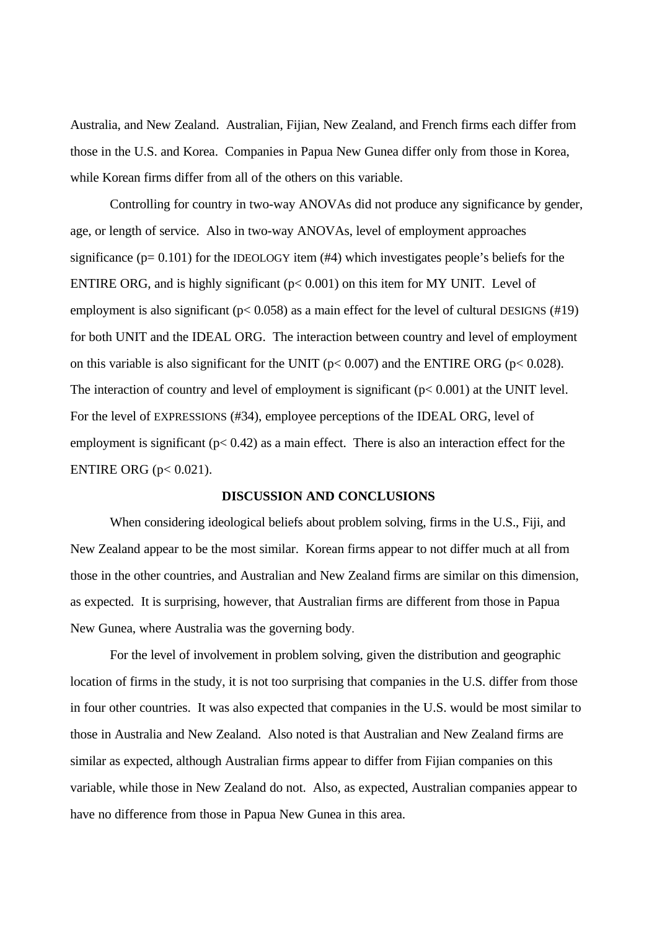Australia, and New Zealand. Australian, Fijian, New Zealand, and French firms each differ from those in the U.S. and Korea. Companies in Papua New Gunea differ only from those in Korea, while Korean firms differ from all of the others on this variable.

Controlling for country in two-way ANOVAs did not produce any significance by gender, age, or length of service. Also in two-way ANOVAs, level of employment approaches significance  $(p= 0.101)$  for the IDEOLOGY item  $(#4)$  which investigates people's beliefs for the ENTIRE ORG, and is highly significant ( $p < 0.001$ ) on this item for MY UNIT. Level of employment is also significant ( $p < 0.058$ ) as a main effect for the level of cultural DESIGNS (#19) for both UNIT and the IDEAL ORG. The interaction between country and level of employment on this variable is also significant for the UNIT ( $p < 0.007$ ) and the ENTIRE ORG ( $p < 0.028$ ). The interaction of country and level of employment is significant  $(p< 0.001)$  at the UNIT level. For the level of EXPRESSIONS (#34), employee perceptions of the IDEAL ORG, level of employment is significant ( $p < 0.42$ ) as a main effect. There is also an interaction effect for the ENTIRE ORG (p< 0.021).

## **DISCUSSION AND CONCLUSIONS**

When considering ideological beliefs about problem solving, firms in the U.S., Fiji, and New Zealand appear to be the most similar. Korean firms appear to not differ much at all from those in the other countries, and Australian and New Zealand firms are similar on this dimension, as expected. It is surprising, however, that Australian firms are different from those in Papua New Gunea, where Australia was the governing body.

For the level of involvement in problem solving, given the distribution and geographic location of firms in the study, it is not too surprising that companies in the U.S. differ from those in four other countries. It was also expected that companies in the U.S. would be most similar to those in Australia and New Zealand. Also noted is that Australian and New Zealand firms are similar as expected, although Australian firms appear to differ from Fijian companies on this variable, while those in New Zealand do not. Also, as expected, Australian companies appear to have no difference from those in Papua New Gunea in this area.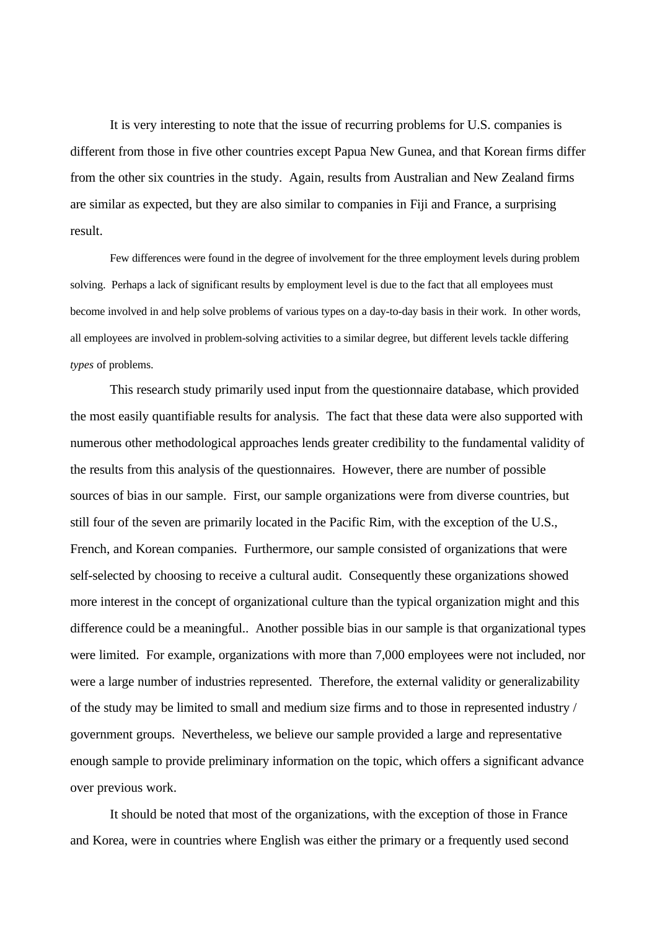It is very interesting to note that the issue of recurring problems for U.S. companies is different from those in five other countries except Papua New Gunea, and that Korean firms differ from the other six countries in the study. Again, results from Australian and New Zealand firms are similar as expected, but they are also similar to companies in Fiji and France, a surprising result.

Few differences were found in the degree of involvement for the three employment levels during problem solving. Perhaps a lack of significant results by employment level is due to the fact that all employees must become involved in and help solve problems of various types on a day-to-day basis in their work. In other words, all employees are involved in problem-solving activities to a similar degree, but different levels tackle differing *types* of problems.

This research study primarily used input from the questionnaire database, which provided the most easily quantifiable results for analysis. The fact that these data were also supported with numerous other methodological approaches lends greater credibility to the fundamental validity of the results from this analysis of the questionnaires. However, there are number of possible sources of bias in our sample. First, our sample organizations were from diverse countries, but still four of the seven are primarily located in the Pacific Rim, with the exception of the U.S., French, and Korean companies. Furthermore, our sample consisted of organizations that were self-selected by choosing to receive a cultural audit. Consequently these organizations showed more interest in the concept of organizational culture than the typical organization might and this difference could be a meaningful.. Another possible bias in our sample is that organizational types were limited. For example, organizations with more than 7,000 employees were not included, nor were a large number of industries represented. Therefore, the external validity or generalizability of the study may be limited to small and medium size firms and to those in represented industry / government groups. Nevertheless, we believe our sample provided a large and representative enough sample to provide preliminary information on the topic, which offers a significant advance over previous work.

It should be noted that most of the organizations, with the exception of those in France and Korea, were in countries where English was either the primary or a frequently used second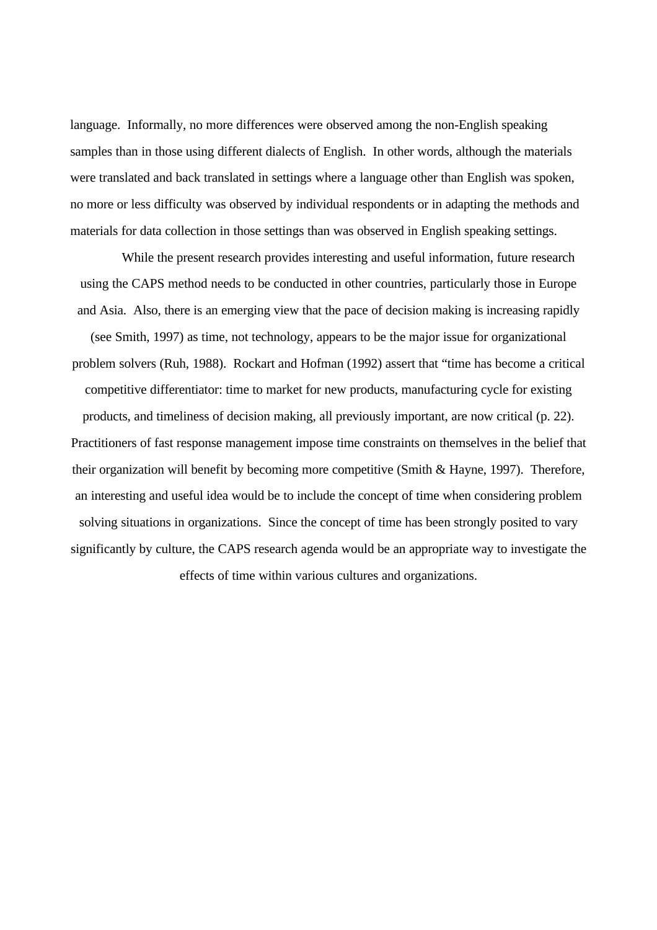language. Informally, no more differences were observed among the non-English speaking samples than in those using different dialects of English. In other words, although the materials were translated and back translated in settings where a language other than English was spoken, no more or less difficulty was observed by individual respondents or in adapting the methods and materials for data collection in those settings than was observed in English speaking settings.

While the present research provides interesting and useful information, future research using the CAPS method needs to be conducted in other countries, particularly those in Europe and Asia. Also, there is an emerging view that the pace of decision making is increasing rapidly (see Smith, 1997) as time, not technology, appears to be the major issue for organizational problem solvers (Ruh, 1988). Rockart and Hofman (1992) assert that "time has become a critical competitive differentiator: time to market for new products, manufacturing cycle for existing products, and timeliness of decision making, all previously important, are now critical (p. 22). Practitioners of fast response management impose time constraints on themselves in the belief that their organization will benefit by becoming more competitive (Smith & Hayne, 1997). Therefore, an interesting and useful idea would be to include the concept of time when considering problem solving situations in organizations. Since the concept of time has been strongly posited to vary significantly by culture, the CAPS research agenda would be an appropriate way to investigate the effects of time within various cultures and organizations.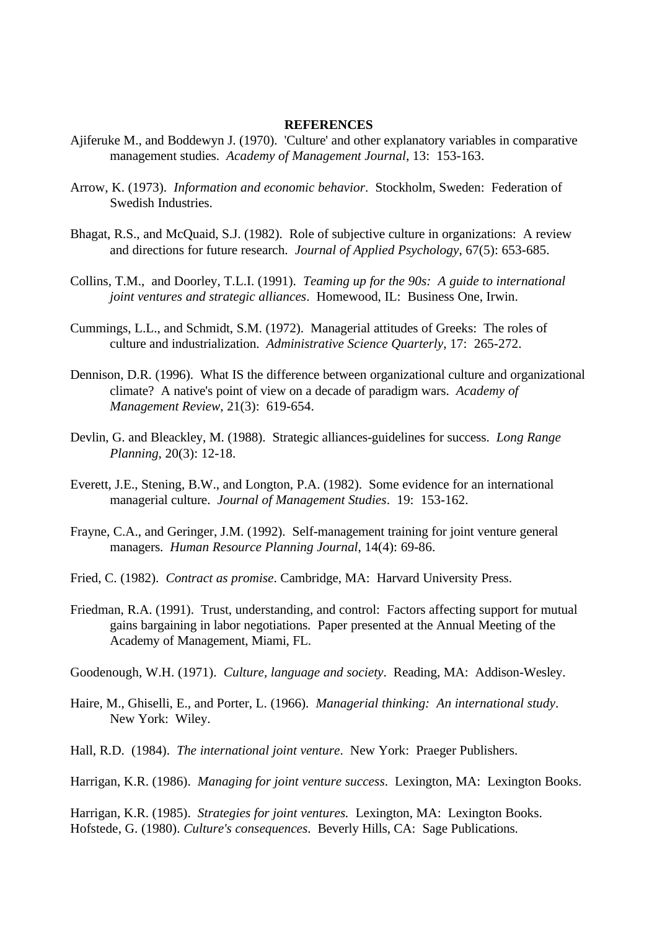## **REFERENCES**

- Ajiferuke M., and Boddewyn J. (1970). 'Culture' and other explanatory variables in comparative management studies. *Academy of Management Journal*, 13: 153-163.
- Arrow, K. (1973). *Information and economic behavior*. Stockholm, Sweden: Federation of Swedish Industries.
- Bhagat, R.S., and McQuaid, S.J. (1982). Role of subjective culture in organizations: A review and directions for future research. *Journal of Applied Psychology*, 67(5): 653-685.
- Collins, T.M., and Doorley, T.L.I. (1991). *Teaming up for the 90s: A guide to international joint ventures and strategic alliances*. Homewood, IL: Business One, Irwin.
- Cummings, L.L., and Schmidt, S.M. (1972). Managerial attitudes of Greeks: The roles of culture and industrialization. *Administrative Science Quarterly*, 17: 265-272.
- Dennison, D.R. (1996). What IS the difference between organizational culture and organizational climate? A native's point of view on a decade of paradigm wars. *Academy of Management Review*, 21(3): 619-654.
- Devlin, G. and Bleackley, M. (1988). Strategic alliances-guidelines for success. *Long Range Planning*, 20(3): 12-18.
- Everett, J.E., Stening, B.W., and Longton, P.A. (1982). Some evidence for an international managerial culture. *Journal of Management Studies*. 19: 153-162.
- Frayne, C.A., and Geringer, J.M. (1992). Self-management training for joint venture general managers. *Human Resource Planning Journal*, 14(4): 69-86.
- Fried, C. (1982). *Contract as promise*. Cambridge, MA: Harvard University Press.
- Friedman, R.A. (1991). Trust, understanding, and control: Factors affecting support for mutual gains bargaining in labor negotiations. Paper presented at the Annual Meeting of the Academy of Management, Miami, FL.
- Goodenough, W.H. (1971). *Culture, language and society*. Reading, MA: Addison-Wesley.
- Haire, M., Ghiselli, E., and Porter, L. (1966). *Managerial thinking: An international study*. New York: Wiley.
- Hall, R.D. (1984). *The international joint venture*. New York: Praeger Publishers.
- Harrigan, K.R. (1986). *Managing for joint venture success*. Lexington, MA: Lexington Books.

Harrigan, K.R. (1985). *Strategies for joint ventures.* Lexington, MA: Lexington Books. Hofstede, G. (1980). *Culture's consequences*. Beverly Hills, CA: Sage Publications.